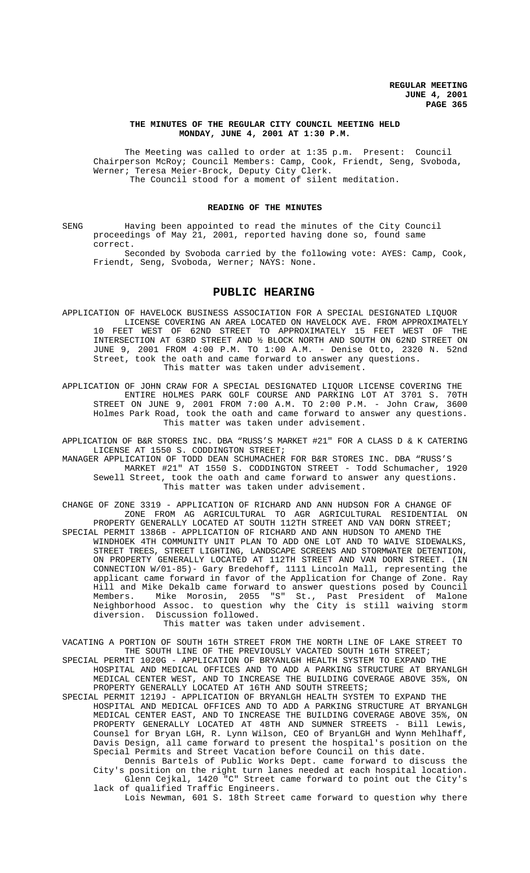#### **THE MINUTES OF THE REGULAR CITY COUNCIL MEETING HELD MONDAY, JUNE 4, 2001 AT 1:30 P.M.**

The Meeting was called to order at 1:35 p.m. Present: Council Chairperson McRoy; Council Members: Camp, Cook, Friendt, Seng, Svoboda, Werner; Teresa Meier-Brock, Deputy City Clerk. The Council stood for a moment of silent meditation.

### **READING OF THE MINUTES**

SENG Having been appointed to read the minutes of the City Council proceedings of May 21, 2001, reported having done so, found same correct.

Seconded by Svoboda carried by the following vote: AYES: Camp, Cook, Friendt, Seng, Svoboda, Werner; NAYS: None.

# **PUBLIC HEARING**

- APPLICATION OF HAVELOCK BUSINESS ASSOCIATION FOR A SPECIAL DESIGNATED LIQUOR LICENSE COVERING AN AREA LOCATED ON HAVELOCK AVE. FROM APPROXIMATELY 10 FEET WEST OF 62ND STREET TO APPROXIMATELY 15 FEET WEST OF THE INTERSECTION AT 63RD STREET AND ½ BLOCK NORTH AND SOUTH ON 62ND STREET ON JUNE 9, 2001 FROM 4:00 P.M. TO 1:00 A.M. - Denise Otto, 2320 N. 52nd Street, took the oath and came forward to answer any questions. This matter was taken under advisement.
- APPLICATION OF JOHN CRAW FOR A SPECIAL DESIGNATED LIQUOR LICENSE COVERING THE ENTIRE HOLMES PARK GOLF COURSE AND PARKING LOT AT 3701 S. 70TH STREET ON JUNE 9, 2001 FROM 7:00 A.M. TO 2:00 P.M. - John Craw, Holmes Park Road, took the oath and came forward to answer any questions. This matter was taken under advisement.

APPLICATION OF B&R STORES INC. DBA "RUSS'S MARKET #21" FOR A CLASS D & K CATERING LICENSE AT 1550 S. CODDINGTON STREET;

MANAGER APPLICATION OF TODD DEAN SCHUMACHER FOR B&R STORES INC. DBA "RUSS'S MARKET #21" AT 1550 S. CODDINGTON STREET - Todd Schumacher, 1920 Sewell Street, took the oath and came forward to answer any questions. This matter was taken under advisement.

CHANGE OF ZONE 3319 - APPLICATION OF RICHARD AND ANN HUDSON FOR A CHANGE OF ZONE FROM AG AGRICULTURAL TO AGR AGRICULTURAL RESIDENTIAL ON PROPERTY GENERALLY LOCATED AT SOUTH 112TH STREET AND VAN DORN STREET; SPECIAL PERMIT 1386B - APPLICATION OF RICHARD AND ANN HUDSON TO AMEND THE WINDHOEK 4TH COMMUNITY UNIT PLAN TO ADD ONE LOT AND TO WAIVE SIDEWALKS, STREET TREES, STREET LIGHTING, LANDSCAPE SCREENS AND STORMWATER DETENTION, ON PROPERTY GENERALLY LOCATED AT 112TH STREET AND VAN DORN STREET. (IN CONNECTION W/01-85)- Gary Bredehoff, 1111 Lincoln Mall, representing the applicant came forward in favor of the Application for Change of Zone. Ray Hill and Mike Dekalb came forward to answer questions posed by Council Members. Mike Morosin, 2055 "S" St., Past President of Malone Neighborhood Assoc. to question why the City is still waiving storm diversion. Discussion followed.

This matter was taken under advisement.

VACATING A PORTION OF SOUTH 16TH STREET FROM THE NORTH LINE OF LAKE STREET TO THE SOUTH LINE OF THE PREVIOUSLY VACATED SOUTH 16TH STREET;

- SPECIAL PERMIT 1020G APPLICATION OF BRYANLGH HEALTH SYSTEM TO EXPAND THE HOSPITAL AND MEDICAL OFFICES AND TO ADD A PARKING STRUCTURE AT BRYANLGH MEDICAL CENTER WEST, AND TO INCREASE THE BUILDING COVERAGE ABOVE 35%, ON PROPERTY GENERALLY LOCATED AT 16TH AND SOUTH STREETS;
- SPECIAL PERMIT 1219J APPLICATION OF BRYANLGH HEALTH SYSTEM TO EXPAND THE HOSPITAL AND MEDICAL OFFICES AND TO ADD A PARKING STRUCTURE AT BRYANLGH MEDICAL CENTER EAST, AND TO INCREASE THE BUILDING COVERAGE ABOVE 35%, ON PROPERTY GENERALLY LOCATED AT 48TH AND SUMNER STREETS - Bill Lewis, Counsel for Bryan LGH, R. Lynn Wilson, CEO of BryanLGH and Wynn Mehlhaff, Davis Design, all came forward to present the hospital's position on the Special Permits and Street Vacation before Council on this date.

Dennis Bartels of Public Works Dept. came forward to discuss the City's position on the right turn lanes needed at each hospital location. Glenn Cejkal, 1420 "C" Street came forward to point out the City's lack of qualified Traffic Engineers.

Lois Newman, 601 S. 18th Street came forward to question why there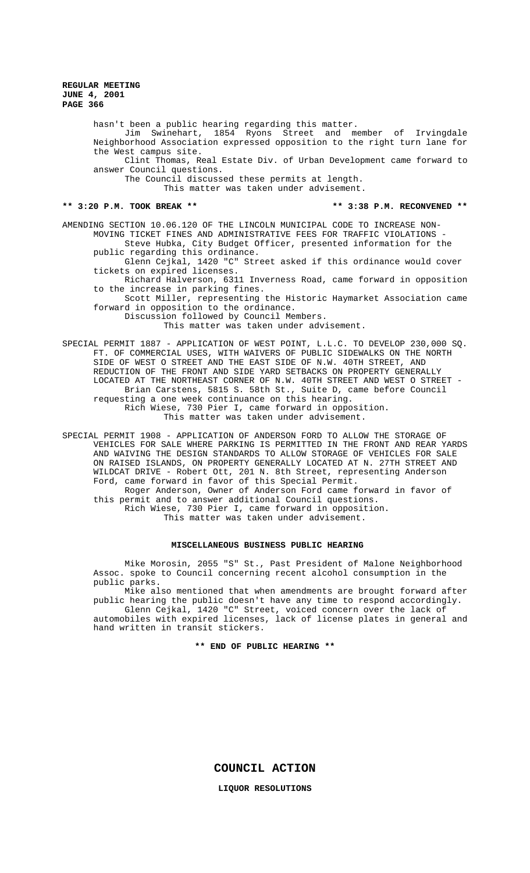hasn't been a public hearing regarding this matter.

Jim Swinehart, 1854 Ryons Street and member of Irvingdale Neighborhood Association expressed opposition to the right turn lane for the West campus site.

Clint Thomas, Real Estate Div. of Urban Development came forward to answer Council questions.

The Council discussed these permits at length.

This matter was taken under advisement.

#### **\*\* 3:20 P.M. TOOK BREAK \*\* \*\* 3:38 P.M. RECONVENED \*\***

AMENDING SECTION 10.06.120 OF THE LINCOLN MUNICIPAL CODE TO INCREASE NON-MOVING TICKET FINES AND ADMINISTRATIVE FEES FOR TRAFFIC VIOLATIONS - Steve Hubka, City Budget Officer, presented information for the

public regarding this ordinance.

Glenn Cejkal, 1420 "C" Street asked if this ordinance would cover tickets on expired licenses.

Richard Halverson, 6311 Inverness Road, came forward in opposition to the increase in parking fines.

Scott Miller, representing the Historic Haymarket Association came forward in opposition to the ordinance.

Discussion followed by Council Members.

This matter was taken under advisement.

SPECIAL PERMIT 1887 - APPLICATION OF WEST POINT, L.L.C. TO DEVELOP 230,000 SQ. FT. OF COMMERCIAL USES, WITH WAIVERS OF PUBLIC SIDEWALKS ON THE NORTH SIDE OF WEST O STREET AND THE EAST SIDE OF N.W. 40TH STREET, AND REDUCTION OF THE FRONT AND SIDE YARD SETBACKS ON PROPERTY GENERALLY LOCATED AT THE NORTHEAST CORNER OF N.W. 40TH STREET AND WEST O STREET - Brian Carstens, 5815 S. 58th St., Suite D, came before Council requesting a one week continuance on this hearing. Rich Wiese, 730 Pier I, came forward in opposition.

This matter was taken under advisement.

SPECIAL PERMIT 1908 - APPLICATION OF ANDERSON FORD TO ALLOW THE STORAGE OF VEHICLES FOR SALE WHERE PARKING IS PERMITTED IN THE FRONT AND REAR YARDS AND WAIVING THE DESIGN STANDARDS TO ALLOW STORAGE OF VEHICLES FOR SALE ON RAISED ISLANDS, ON PROPERTY GENERALLY LOCATED AT N. 27TH STREET AND WILDCAT DRIVE - Robert Ott, 201 N. 8th Street, representing Anderson Ford, came forward in favor of this Special Permit. Roger Anderson, Owner of Anderson Ford came forward in favor of this permit and to answer additional Council questions. Rich Wiese, 730 Pier I, came forward in opposition. This matter was taken under advisement.

#### **MISCELLANEOUS BUSINESS PUBLIC HEARING**

Mike Morosin, 2055 "S" St., Past President of Malone Neighborhood Assoc. spoke to Council concerning recent alcohol consumption in the public parks.

Mike also mentioned that when amendments are brought forward after public hearing the public doesn't have any time to respond accordingly.

Glenn Cejkal, 1420 "C" Street, voiced concern over the lack of automobiles with expired licenses, lack of license plates in general and hand written in transit stickers.

**\*\* END OF PUBLIC HEARING \*\***

**COUNCIL ACTION**

**LIQUOR RESOLUTIONS**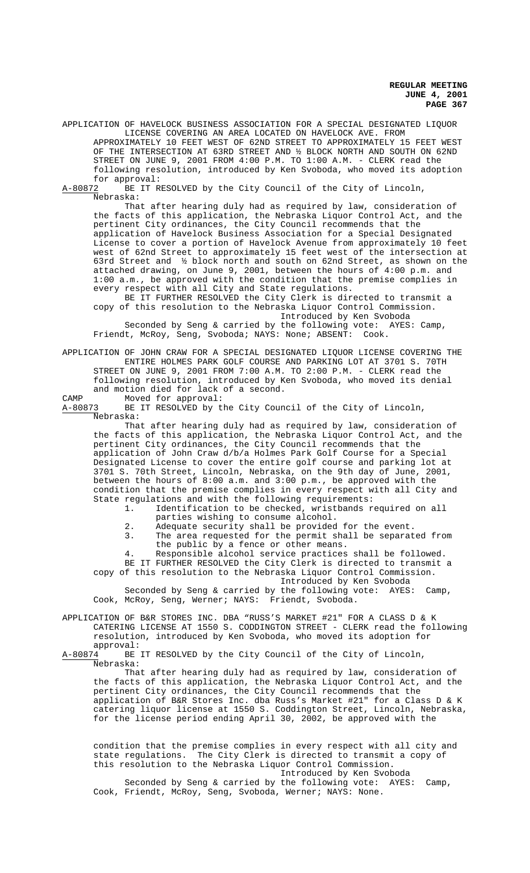APPLICATION OF HAVELOCK BUSINESS ASSOCIATION FOR A SPECIAL DESIGNATED LIQUOR LICENSE COVERING AN AREA LOCATED ON HAVELOCK AVE. FROM APPROXIMATELY 10 FEET WEST OF 62ND STREET TO APPROXIMATELY 15 FEET WEST OF THE INTERSECTION AT 63RD STREET AND ½ BLOCK NORTH AND SOUTH ON 62ND STREET ON JUNE 9, 2001 FROM 4:00 P.M. TO 1:00 A.M. - CLERK read the following resolution, introduced by Ken Svoboda, who moved its adoption

for approval:<br>A-80872 BE IT R BE IT RESOLVED by the City Council of the City of Lincoln, Nebraska:

That after hearing duly had as required by law, consideration of the facts of this application, the Nebraska Liquor Control Act, and the pertinent City ordinances, the City Council recommends that the application of Havelock Business Association for a Special Designated License to cover a portion of Havelock Avenue from approximately 10 feet west of 62nd Street to approximately 15 feet west of the intersection at 63rd Street and ½ block north and south on 62nd Street, as shown on the attached drawing, on June 9, 2001, between the hours of 4:00 p.m. and 1:00 a.m., be approved with the condition that the premise complies in every respect with all City and State regulations.

BE IT FURTHER RESOLVED the City Clerk is directed to transmit a copy of this resolution to the Nebraska Liquor Control Commission. Introduced by Ken Svoboda Seconded by Seng & carried by the following vote: AYES: Camp, Friendt, McRoy, Seng, Svoboda; NAYS: None; ABSENT: Cook.

APPLICATION OF JOHN CRAW FOR A SPECIAL DESIGNATED LIQUOR LICENSE COVERING THE ENTIRE HOLMES PARK GOLF COURSE AND PARKING LOT AT 3701 S. 70TH STREET ON JUNE 9, 2001 FROM 7:00 A.M. TO 2:00 P.M. - CLERK read the following resolution, introduced by Ken Svoboda, who moved its denial and motion died for lack of a second.

CAMP Moved for approval:<br>A-80873 BE IT RESOLVED by t BE IT RESOLVED by the City Council of the City of Lincoln, Nebraska:

That after hearing duly had as required by law, consideration of the facts of this application, the Nebraska Liquor Control Act, and the pertinent City ordinances, the City Council recommends that the application of John Craw d/b/a Holmes Park Golf Course for a Special Designated License to cover the entire golf course and parking lot at 3701 S. 70th Street, Lincoln, Nebraska, on the 9th day of June, 2001, between the hours of 8:00 a.m. and 3:00 p.m., be approved with the condition that the premise complies in every respect with all City and State regulations and with the following requirements:

- 1. Identification to be checked, wristbands required on all parties wishing to consume alcohol.
- 2. Adequate security shall be provided for the event.<br>3. The area requested for the permit shall be separat
- The area requested for the permit shall be separated from the public by a fence or other means.

4. Responsible alcohol service practices shall be followed. BE IT FURTHER RESOLVED the City Clerk is directed to transmit a copy of this resolution to the Nebraska Liquor Control Commission.

Introduced by Ken Svoboda

Seconded by Seng & carried by the following vote: AYES: Camp, Cook, McRoy, Seng, Werner; NAYS: Friendt, Svoboda.

APPLICATION OF B&R STORES INC. DBA "RUSS'S MARKET #21" FOR A CLASS D & K CATERING LICENSE AT 1550 S. CODDINGTON STREET - CLERK read the following resolution, introduced by Ken Svoboda, who moved its adoption for

approval:<br>A-80874 BE BE IT RESOLVED by the City Council of the City of Lincoln, Nebraska:

That after hearing duly had as required by law, consideration of the facts of this application, the Nebraska Liquor Control Act, and the pertinent City ordinances, the City Council recommends that the application of B&R Stores Inc. dba Russ's Market #21" for a Class D & K catering liquor license at 1550 S. Coddington Street, Lincoln, Nebraska, for the license period ending April 30, 2002, be approved with the

condition that the premise complies in every respect with all city and state regulations. The City Clerk is directed to transmit a copy of this resolution to the Nebraska Liquor Control Commission. Introduced by Ken Svoboda

Seconded by Seng & carried by the following vote: AYES: Camp, Cook, Friendt, McRoy, Seng, Svoboda, Werner; NAYS: None.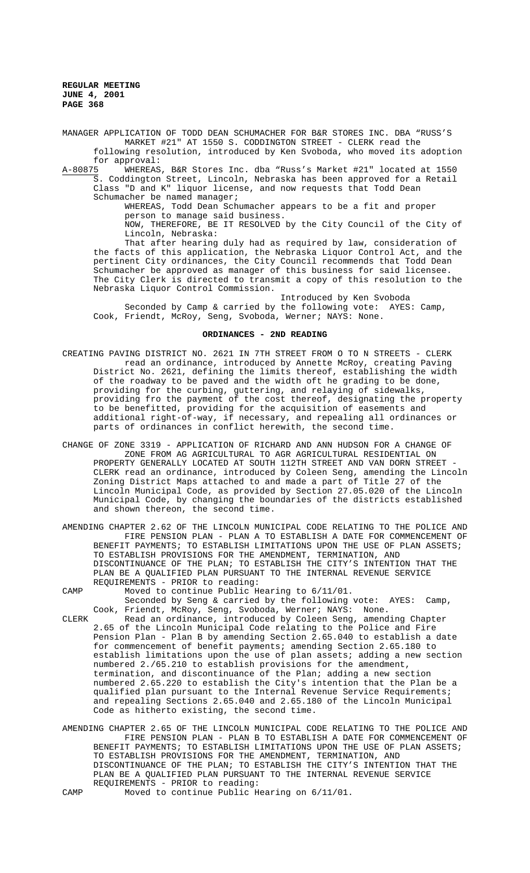MANAGER APPLICATION OF TODD DEAN SCHUMACHER FOR B&R STORES INC. DBA "RUSS'S MARKET #21" AT 1550 S. CODDINGTON STREET - CLERK read the following resolution, introduced by Ken Svoboda, who moved its adoption for approval:<br>A-80875 WHEREAS

A-80875 WHEREAS, B&R Stores Inc. dba "Russ's Market #21" located at 1550 S. Coddington Street, Lincoln, Nebraska has been approved for a Retail Class "D and K" liquor license, and now requests that Todd Dean Schumacher be named manager;

WHEREAS, Todd Dean Schumacher appears to be a fit and proper person to manage said business.

NOW, THEREFORE, BE IT RESOLVED by the City Council of the City of Lincoln, Nebraska:

That after hearing duly had as required by law, consideration of the facts of this application, the Nebraska Liquor Control Act, and the pertinent City ordinances, the City Council recommends that Todd Dean Schumacher be approved as manager of this business for said licensee. The City Clerk is directed to transmit a copy of this resolution to the Nebraska Liquor Control Commission.

Introduced by Ken Svoboda Seconded by Camp & carried by the following vote: AYES: Camp, Cook, Friendt, McRoy, Seng, Svoboda, Werner; NAYS: None.

#### **ORDINANCES - 2ND READING**

- CREATING PAVING DISTRICT NO. 2621 IN 7TH STREET FROM O TO N STREETS CLERK read an ordinance, introduced by Annette McRoy, creating Paving District No. 2621, defining the limits thereof, establishing the width of the roadway to be paved and the width oft he grading to be done, providing for the curbing, guttering, and relaying of sidewalks, providing fro the payment of the cost thereof, designating the property to be benefitted, providing for the acquisition of easements and additional right-of-way, if necessary, and repealing all ordinances or parts of ordinances in conflict herewith, the second time.
- CHANGE OF ZONE 3319 APPLICATION OF RICHARD AND ANN HUDSON FOR A CHANGE OF ZONE FROM AG AGRICULTURAL TO AGR AGRICULTURAL RESIDENTIAL ON PROPERTY GENERALLY LOCATED AT SOUTH 112TH STREET AND VAN DORN STREET - CLERK read an ordinance, introduced by Coleen Seng, amending the Lincoln Zoning District Maps attached to and made a part of Title 27 of the Lincoln Municipal Code, as provided by Section 27.05.020 of the Lincoln Municipal Code, by changing the boundaries of the districts established and shown thereon, the second time.
- AMENDING CHAPTER 2.62 OF THE LINCOLN MUNICIPAL CODE RELATING TO THE POLICE AND FIRE PENSION PLAN - PLAN A TO ESTABLISH A DATE FOR COMMENCEMENT OF BENEFIT PAYMENTS; TO ESTABLISH LIMITATIONS UPON THE USE OF PLAN ASSETS; TO ESTABLISH PROVISIONS FOR THE AMENDMENT, TERMINATION, AND DISCONTINUANCE OF THE PLAN; TO ESTABLISH THE CITY'S INTENTION THAT THE PLAN BE A QUALIFIED PLAN PURSUANT TO THE INTERNAL REVENUE SERVICE REQUIREMENTS - PRIOR to reading:

CAMP Moved to continue Public Hearing to 6/11/01.

Seconded by Seng & carried by the following vote: AYES: Camp, Cook, Friendt, McRoy, Seng, Svoboda, Werner; NAYS: None.

CLERK Read an ordinance, introduced by Coleen Seng, amending Chapter 2.65 of the Lincoln Municipal Code relating to the Police and Fire Pension Plan - Plan B by amending Section 2.65.040 to establish a date for commencement of benefit payments; amending Section 2.65.180 to establish limitations upon the use of plan assets; adding a new section numbered 2./65.210 to establish provisions for the amendment, termination, and discontinuance of the Plan; adding a new section numbered 2.65.220 to establish the City's intention that the Plan be a qualified plan pursuant to the Internal Revenue Service Requirements; and repealing Sections 2.65.040 and 2.65.180 of the Lincoln Municipal Code as hitherto existing, the second time.

AMENDING CHAPTER 2.65 OF THE LINCOLN MUNICIPAL CODE RELATING TO THE POLICE AND FIRE PENSION PLAN - PLAN B TO ESTABLISH A DATE FOR COMMENCEMENT OF BENEFIT PAYMENTS; TO ESTABLISH LIMITATIONS UPON THE USE OF PLAN ASSETS; TO ESTABLISH PROVISIONS FOR THE AMENDMENT, TERMINATION, AND DISCONTINUANCE OF THE PLAN; TO ESTABLISH THE CITY'S INTENTION THAT THE PLAN BE A QUALIFIED PLAN PURSUANT TO THE INTERNAL REVENUE SERVICE REQUIREMENTS - PRIOR to reading:

CAMP Moved to continue Public Hearing on 6/11/01.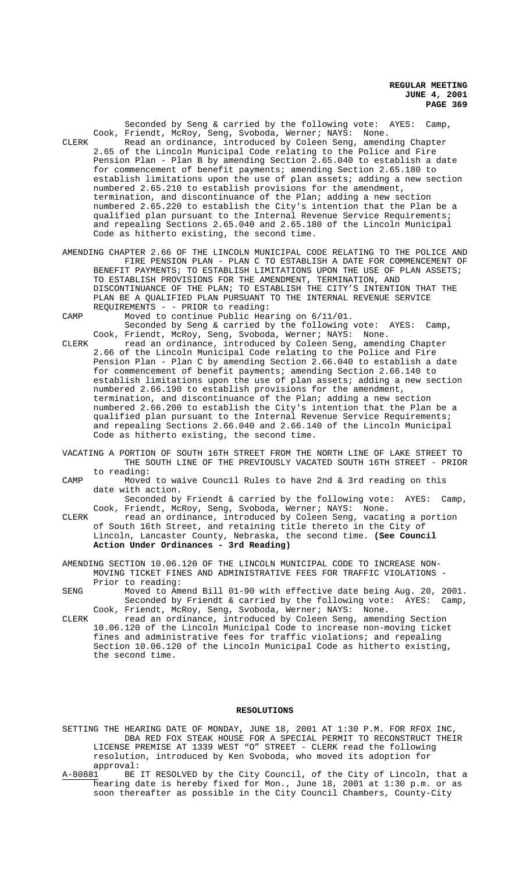Seconded by Seng & carried by the following vote: AYES: Camp, Cook, Friendt, McRoy, Seng, Svoboda, Werner; NAYS: None. CLERK Read an ordinance, introduced by Coleen Seng, amending Chapter 2.65 of the Lincoln Municipal Code relating to the Police and Fire Pension Plan - Plan B by amending Section 2.65.040 to establish a date for commencement of benefit payments; amending Section 2.65.180 to establish limitations upon the use of plan assets; adding a new section numbered 2.65.210 to establish provisions for the amendment, termination, and discontinuance of the Plan; adding a new section numbered 2.65.220 to establish the City's intention that the Plan be a qualified plan pursuant to the Internal Revenue Service Requirements; and repealing Sections 2.65.040 and 2.65.180 of the Lincoln Municipal Code as hitherto existing, the second time.

AMENDING CHAPTER 2.66 OF THE LINCOLN MUNICIPAL CODE RELATING TO THE POLICE AND FIRE PENSION PLAN - PLAN C TO ESTABLISH A DATE FOR COMMENCEMENT OF BENEFIT PAYMENTS; TO ESTABLISH LIMITATIONS UPON THE USE OF PLAN ASSETS; TO ESTABLISH PROVISIONS FOR THE AMENDMENT, TERMINATION, AND DISCONTINUANCE OF THE PLAN; TO ESTABLISH THE CITY'S INTENTION THAT THE PLAN BE A QUALIFIED PLAN PURSUANT TO THE INTERNAL REVENUE SERVICE REQUIREMENTS - - PRIOR to reading:

CAMP Moved to continue Public Hearing on 6/11/01.

Seconded by Seng & carried by the following vote: AYES: Camp, Cook, Friendt, McRoy, Seng, Svoboda, Werner; NAYS: None.

- CLERK read an ordinance, introduced by Coleen Seng, amending Chapter 2.66 of the Lincoln Municipal Code relating to the Police and Fire Pension Plan - Plan C by amending Section 2.66.040 to establish a date for commencement of benefit payments; amending Section 2.66.140 to establish limitations upon the use of plan assets; adding a new section numbered 2.66.190 to establish provisions for the amendment, termination, and discontinuance of the Plan; adding a new section numbered 2.66.200 to establish the City's intention that the Plan be a qualified plan pursuant to the Internal Revenue Service Requirements; and repealing Sections 2.66.040 and 2.66.140 of the Lincoln Municipal Code as hitherto existing, the second time.
- VACATING A PORTION OF SOUTH 16TH STREET FROM THE NORTH LINE OF LAKE STREET TO THE SOUTH LINE OF THE PREVIOUSLY VACATED SOUTH 16TH STREET - PRIOR to reading:
- CAMP Moved to waive Council Rules to have 2nd & 3rd reading on this date with action.

Seconded by Friendt & carried by the following vote: AYES: Camp, Cook, Friendt, McRoy, Seng, Svoboda, Werner; NAYS: None.

CLERK read an ordinance, introduced by Coleen Seng, vacating a portion of South 16th Street, and retaining title thereto in the City of Lincoln, Lancaster County, Nebraska, the second time. **(See Council Action Under Ordinances - 3rd Reading)**

AMENDING SECTION 10.06.120 OF THE LINCOLN MUNICIPAL CODE TO INCREASE NON-MOVING TICKET FINES AND ADMINISTRATIVE FEES FOR TRAFFIC VIOLATIONS - Prior to reading:

- SENG Moved to Amend Bill 01-90 with effective date being Aug. 20, 2001. Seconded by Friendt & carried by the following vote: AYES: Camp, Cook, Friendt, McRoy, Seng, Svoboda, Werner; NAYS: None.
- CLERK read an ordinance, introduced by Coleen Seng, amending Section 10.06.120 of the Lincoln Municipal Code to increase non-moving ticket fines and administrative fees for traffic violations; and repealing Section 10.06.120 of the Lincoln Municipal Code as hitherto existing, the second time.

### **RESOLUTIONS**

- SETTING THE HEARING DATE OF MONDAY, JUNE 18, 2001 AT 1:30 P.M. FOR RFOX INC, DBA RED FOX STEAK HOUSE FOR A SPECIAL PERMIT TO RECONSTRUCT THEIR LICENSE PREMISE AT 1339 WEST "O" STREET - CLERK read the following resolution, introduced by Ken Svoboda, who moved its adoption for approval:<br>A-80881 BE
- A-80881 BE IT RESOLVED by the City Council, of the City of Lincoln, that a hearing date is hereby fixed for Mon., June 18, 2001 at 1:30 p.m. or as soon thereafter as possible in the City Council Chambers, County-City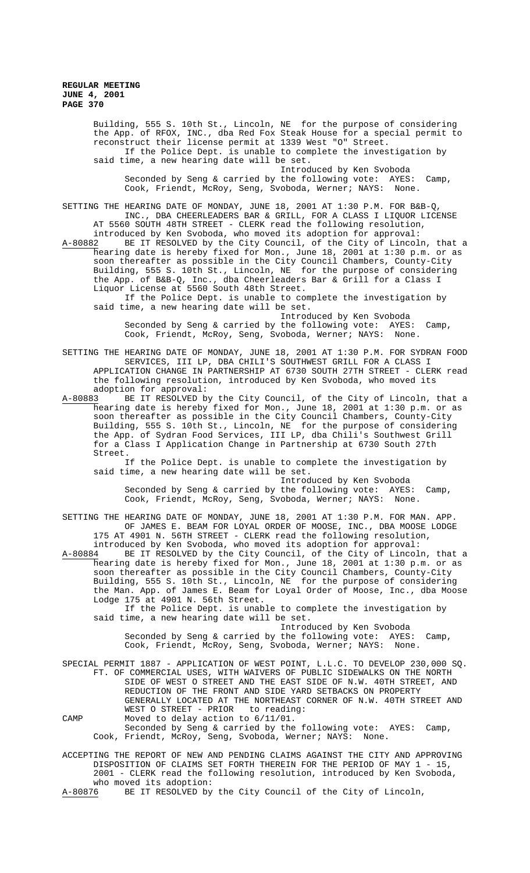Building, 555 S. 10th St., Lincoln, NE for the purpose of considering the App. of RFOX, INC., dba Red Fox Steak House for a special permit to reconstruct their license permit at 1339 West "O" Street. If the Police Dept. is unable to complete the investigation by said time, a new hearing date will be set.

Introduced by Ken Svoboda Seconded by Seng & carried by the following vote: AYES: Camp, Cook, Friendt, McRoy, Seng, Svoboda, Werner; NAYS: None.

SETTING THE HEARING DATE OF MONDAY, JUNE 18, 2001 AT 1:30 P.M. FOR B&B-Q, INC., DBA CHEERLEADERS BAR & GRILL, FOR A CLASS I LIQUOR LICENSE AT 5560 SOUTH 48TH STREET - CLERK read the following resolution, introduced by Ken Svoboda, who moved its adoption for approval:<br>A-80882 BE IT RESOLVED by the City Council, of the City of Lincol: BE IT RESOLVED by the City Council, of the City of Lincoln, that a hearing date is hereby fixed for Mon., June 18, 2001 at 1:30 p.m. or as soon thereafter as possible in the City Council Chambers, County-City Building, 555 S. 10th St., Lincoln, NE for the purpose of considering

the App. of B&B-Q, Inc., dba Cheerleaders Bar & Grill for a Class I Liquor License at 5560 South 48th Street. If the Police Dept. is unable to complete the investigation by said time, a new hearing date will be set.

Introduced by Ken Svoboda Seconded by Seng & carried by the following vote: AYES: Camp, Cook, Friendt, McRoy, Seng, Svoboda, Werner; NAYS: None.

SETTING THE HEARING DATE OF MONDAY, JUNE 18, 2001 AT 1:30 P.M. FOR SYDRAN FOOD SERVICES, III LP, DBA CHILI'S SOUTHWEST GRILL FOR A CLASS I APPLICATION CHANGE IN PARTNERSHIP AT 6730 SOUTH 27TH STREET - CLERK read the following resolution, introduced by Ken Svoboda, who moved its adoption for approval:

A-80883 BE IT RESOLVED by the City Council, of the City of Lincoln, that a hearing date is hereby fixed for Mon., June 18, 2001 at 1:30 p.m. or as soon thereafter as possible in the City Council Chambers, County-City Building, 555 S. 10th St., Lincoln, NE for the purpose of considering the App. of Sydran Food Services, III LP, dba Chili's Southwest Grill for a Class I Application Change in Partnership at 6730 South 27th Street.

If the Police Dept. is unable to complete the investigation by said time, a new hearing date will be set.

Introduced by Ken Svoboda Seconded by Seng & carried by the following vote: AYES: Camp, Cook, Friendt, McRoy, Seng, Svoboda, Werner; NAYS: None.

SETTING THE HEARING DATE OF MONDAY, JUNE 18, 2001 AT 1:30 P.M. FOR MAN. APP. OF JAMES E. BEAM FOR LOYAL ORDER OF MOOSE, INC., DBA MOOSE LODGE 175 AT 4901 N. 56TH STREET - CLERK read the following resolution,

introduced by Ken Svoboda, who moved its adoption for approval:<br>A-80884 BE IT RESOLVED by the City Council, of the City of Lincoln A-80884 BE IT RESOLVED by the City Council, of the City of Lincoln, that a hearing date is hereby fixed for Mon., June 18, 2001 at 1:30 p.m. or as soon thereafter as possible in the City Council Chambers, County-City Building, 555 S. 10th St., Lincoln, NE for the purpose of considering the Man. App. of James E. Beam for Loyal Order of Moose, Inc., dba Moose Lodge 175 at 4901 N. 56th Street.

If the Police Dept. is unable to complete the investigation by said time, a new hearing date will be set.

Introduced by Ken Svoboda Seconded by Seng & carried by the following vote: AYES: Camp, Cook, Friendt, McRoy, Seng, Svoboda, Werner; NAYS: None.

SPECIAL PERMIT 1887 - APPLICATION OF WEST POINT, L.L.C. TO DEVELOP 230,000 SQ. FT. OF COMMERCIAL USES, WITH WAIVERS OF PUBLIC SIDEWALKS ON THE NORTH SIDE OF WEST O STREET AND THE EAST SIDE OF N.W. 40TH STREET, AND REDUCTION OF THE FRONT AND SIDE YARD SETBACKS ON PROPERTY GENERALLY LOCATED AT THE NORTHEAST CORNER OF N.W. 40TH STREET AND WEST O STREET - PRIOR to reading: CAMP Moved to delay action to 6/11/01. Seconded by Seng & carried by the following vote: AYES: Camp,

Cook, Friendt, McRoy, Seng, Svoboda, Werner; NAYS: None.

ACCEPTING THE REPORT OF NEW AND PENDING CLAIMS AGAINST THE CITY AND APPROVING DISPOSITION OF CLAIMS SET FORTH THEREIN FOR THE PERIOD OF MAY 1 - 15, 2001 - CLERK read the following resolution, introduced by Ken Svoboda, who moved its adoption:<br>A-80876 BE IT RESOLVED by

BE IT RESOLVED by the City Council of the City of Lincoln,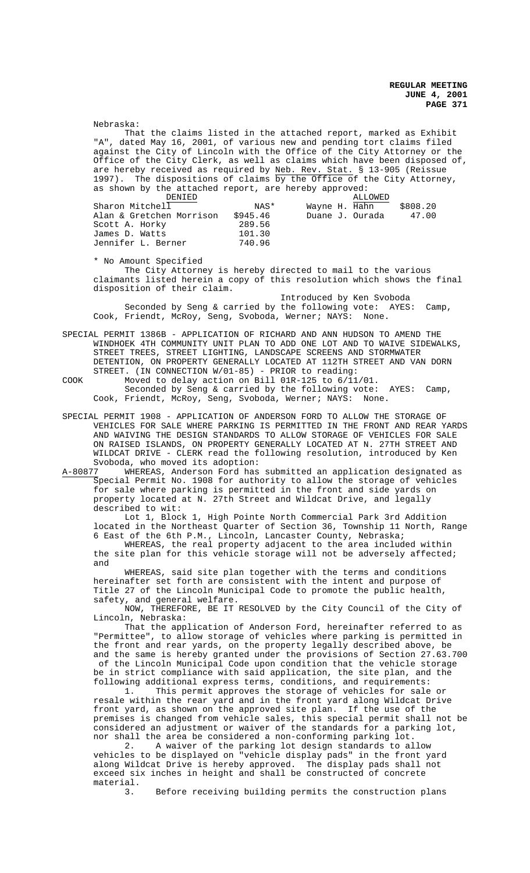That the claims listed in the attached report, marked as Exhibit dated May 16, 2001, of various new and pending tort claims filed against the City of Lincoln with the Office of the City Attorney or the Office of the City Clerk, as well as claims which have been disposed of, are hereby received as required by Neb. Rev. Stat. § 13-905 (Reissue 1997). The dispositions of claims by the Office of the City Attorney, as shown by the attached report, are hereby approved: DENIED<br>11 MAS\* Wayne H. Hahn Sharon Mitchell  $\overline{1}$  NAS\* Wayne H.  $\overline{Hahn}$  \$808.20<br>Alan & Gretchen Morrison \$945.46 Duane J. Ourada 47.00 Alan & Gretchen Morrison \$945.46<br>Scott A. Horky 289.56 Scott A. Horky 289.56<br>James D. Watts 101.30 James D. Watts 101.30 Jennifer L. Berner 740.96 \* No Amount Specified The City Attorney is hereby directed to mail to the various claimants listed herein a copy of this resolution which shows the final disposition of their claim. Introduced by Ken Svoboda

Nebraska:

Seconded by Seng & carried by the following vote: AYES: Camp, Cook, Friendt, McRoy, Seng, Svoboda, Werner; NAYS: None.

SPECIAL PERMIT 1386B - APPLICATION OF RICHARD AND ANN HUDSON TO AMEND THE WINDHOEK 4TH COMMUNITY UNIT PLAN TO ADD ONE LOT AND TO WAIVE SIDEWALKS, STREET TREES, STREET LIGHTING, LANDSCAPE SCREENS AND STORMWATER DETENTION, ON PROPERTY GENERALLY LOCATED AT 112TH STREET AND VAN DORN STREET. (IN CONNECTION W/01-85) - PRIOR to reading:

COOK Moved to delay action on Bill 01R-125 to 6/11/01. Seconded by Seng & carried by the following vote: AYES: Camp, Cook, Friendt, McRoy, Seng, Svoboda, Werner; NAYS: None.

SPECIAL PERMIT 1908 - APPLICATION OF ANDERSON FORD TO ALLOW THE STORAGE OF VEHICLES FOR SALE WHERE PARKING IS PERMITTED IN THE FRONT AND REAR YARDS AND WAIVING THE DESIGN STANDARDS TO ALLOW STORAGE OF VEHICLES FOR SALE ON RAISED ISLANDS, ON PROPERTY GENERALLY LOCATED AT N. 27TH STREET AND WILDCAT DRIVE - CLERK read the following resolution, introduced by Ken Svoboda, who moved its adoption:<br>A-80877 WHEREAS, Anderson Ford has

A-80877 WHEREAS, Anderson Ford has submitted an application designated as Special Permit No. 1908 for authority to allow the storage of vehicles for sale where parking is permitted in the front and side yards on property located at N. 27th Street and Wildcat Drive, and legally described to wit:

Lot 1, Block 1, High Pointe North Commercial Park 3rd Addition located in the Northeast Quarter of Section 36, Township 11 North, Range 6 East of the 6th P.M., Lincoln, Lancaster County, Nebraska;

WHEREAS, the real property adjacent to the area included within the site plan for this vehicle storage will not be adversely affected; and

WHEREAS, said site plan together with the terms and conditions hereinafter set forth are consistent with the intent and purpose of Title 27 of the Lincoln Municipal Code to promote the public health, safety, and general welfare.

NOW, THEREFORE, BE IT RESOLVED by the City Council of the City of Lincoln, Nebraska:

That the application of Anderson Ford, hereinafter referred to as "Permittee", to allow storage of vehicles where parking is permitted in the front and rear yards, on the property legally described above, be and the same is hereby granted under the provisions of Section 27.63.700 of the Lincoln Municipal Code upon condition that the vehicle storage be in strict compliance with said application, the site plan, and the following additional express terms, conditions, and requirements:

1. This permit approves the storage of vehicles for sale or resale within the rear yard and in the front yard along Wildcat Drive front yard, as shown on the approved site plan. If the use of the premises is changed from vehicle sales, this special permit shall not be considered an adjustment or waiver of the standards for a parking lot, nor shall the area be considered a non-conforming parking lot.

2. A waiver of the parking lot design standards to allow vehicles to be displayed on "vehicle display pads" in the front yard along Wildcat Drive is hereby approved. The display pads shall not exceed six inches in height and shall be constructed of concrete material.<br>3.

Before receiving building permits the construction plans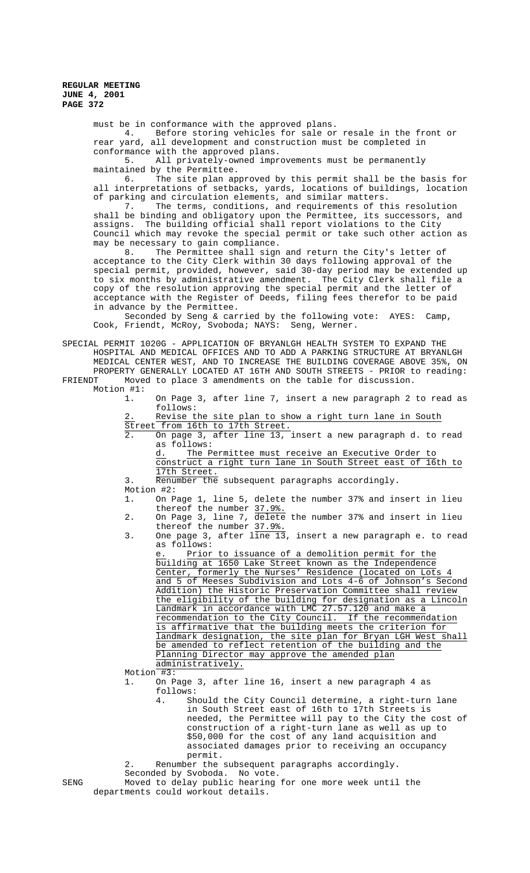must be in conformance with the approved plans.

4. Before storing vehicles for sale or resale in the front or rear yard, all development and construction must be completed in conformance with the approved plans.

5. All privately-owned improvements must be permanently maintained by the Permittee.

6. The site plan approved by this permit shall be the basis for all interpretations of setbacks, yards, locations of buildings, location of parking and circulation elements, and similar matters.<br>7. The terms, conditions, and requirements of th

The terms, conditions, and requirements of this resolution shall be binding and obligatory upon the Permittee, its successors, and assigns. The building official shall report violations to the City Council which may revoke the special permit or take such other action as may be necessary to gain compliance.<br>8. The Permittee shall sign

The Permittee shall sign and return the City's letter of acceptance to the City Clerk within 30 days following approval of the special permit, provided, however, said 30-day period may be extended up to six months by administrative amendment. The City Clerk shall file a copy of the resolution approving the special permit and the letter of acceptance with the Register of Deeds, filing fees therefor to be paid in advance by the Permittee.

Seconded by Seng & carried by the following vote: AYES: Camp, Cook, Friendt, McRoy, Svoboda; NAYS: Seng, Werner.

SPECIAL PERMIT 1020G - APPLICATION OF BRYANLGH HEALTH SYSTEM TO EXPAND THE HOSPITAL AND MEDICAL OFFICES AND TO ADD A PARKING STRUCTURE AT BRYANLGH MEDICAL CENTER WEST, AND TO INCREASE THE BUILDING COVERAGE ABOVE 35%, ON PROPERTY GENERALLY LOCATED AT 16TH AND SOUTH STREETS - PRIOR to reading: FRIENDT Moved to place 3 amendments on the table for discussion.

Motion #1:

1. On Page 3, after line 7, insert a new paragraph 2 to read as follows:

Revise the site plan to show a right turn lane in South Street from 16th to 17th Street.

2. On page 3, after line 13, insert a new paragraph d. to read as follows:

d. The Permittee must receive an Executive Order to construct a right turn lane in South Street east of 16th to 17th Street.

3. Renumber the subsequent paragraphs accordingly. Motion #2:

1. On Page 1, line 5, delete the number 37% and insert in lieu thereof the number 37.9%.

- 2. On Page 3, line 7, delete the number 37% and insert in lieu thereof the number 37.9%.
- 3. One page 3, after  $\overline{line 13}$ , insert a new paragraph e. to read as follows:

Prior to issuance of a demolition permit for the building at 1650 Lake Street known as the Independence Center, formerly the Nurses' Residence (located on Lots 4 and 5 of Meeses Subdivision and Lots 4-6 of Johnson's Second Addition) the Historic Preservation Committee shall review the eligibility of the building for designation as a Lincoln Landmark in accordance with LMC 27.57.120 and make a recommendation to the City Council. If the recommendation is affirmative that the building meets the criterion for landmark designation, the site plan for Bryan LGH West shall be amended to reflect retention of the building and the Planning Director may approve the amended plan administratively.

Motion #3:

1. On Page 3, after line 16, insert a new paragraph 4 as follows:

> 4. Should the City Council determine, a right-turn lane in South Street east of 16th to 17th Streets is needed, the Permittee will pay to the City the cost of construction of a right-turn lane as well as up to \$50,000 for the cost of any land acquisition and associated damages prior to receiving an occupancy permit.

2. Renumber the subsequent paragraphs accordingly. Seconded by Svoboda. No vote.

SENG Moved to delay public hearing for one more week until the departments could workout details.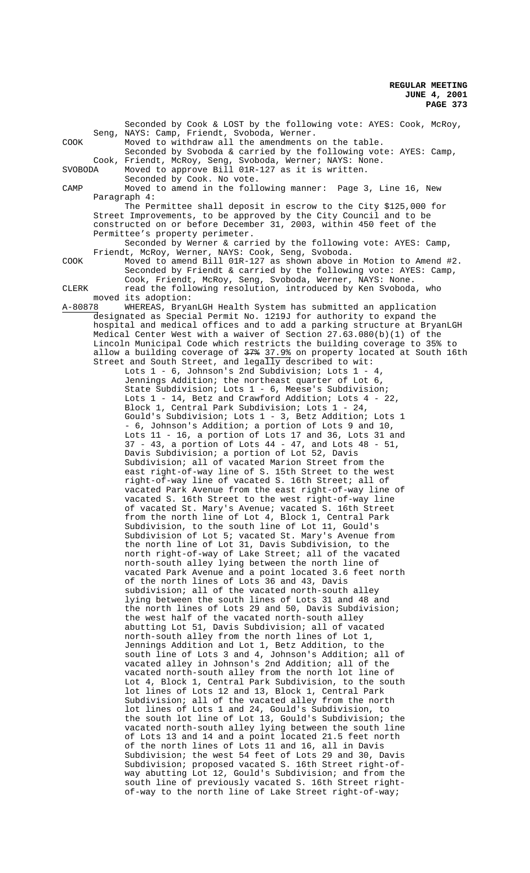|         | Seconded by Cook & LOST by the following vote: AYES: Cook, McRoy,                                                                                |
|---------|--------------------------------------------------------------------------------------------------------------------------------------------------|
| COOK    | Seng, NAYS: Camp, Friendt, Svoboda, Werner.<br>Moved to withdraw all the amendments on the table.                                                |
|         | Seconded by Svoboda & carried by the following vote: AYES: Camp,                                                                                 |
| SVOBODA | Cook, Friendt, McRoy, Seng, Svoboda, Werner; NAYS: None.<br>Moved to approve Bill 01R-127 as it is written.                                      |
|         | Seconded by Cook. No vote.                                                                                                                       |
| CAMP    | Moved to amend in the following manner: Page 3, Line 16, New                                                                                     |
|         | Paragraph 4:<br>The Permittee shall deposit in escrow to the City \$125,000 for                                                                  |
|         | Street Improvements, to be approved by the City Council and to be<br>constructed on or before December 31, 2003, within 450 feet of the          |
|         | Permittee's property perimeter.<br>Seconded by Werner & carried by the following vote: AYES: Camp,                                               |
|         | Friendt, McRoy, Werner, NAYS: Cook, Seng, Svoboda.                                                                                               |
| COOK    | Moved to amend Bill 01R-127 as shown above in Motion to Amend #2.<br>Seconded by Friendt & carried by the following vote: AYES: Camp,            |
|         | Cook, Friendt, McRoy, Seng, Svoboda, Werner, NAYS: None.                                                                                         |
| CLERK   | read the following resolution, introduced by Ken Svoboda, who                                                                                    |
| A-80878 | moved its adoption:<br>WHEREAS, BryanLGH Health System has submitted an application                                                              |
|         | designated as Special Permit No. 1219J for authority to expand the                                                                               |
|         | hospital and medical offices and to add a parking structure at BryanLGH<br>Medical Center West with a waiver of Section $27.63.080(b)(1)$ of the |
|         | Lincoln Municipal Code which restricts the building coverage to 35% to                                                                           |
|         | allow a building coverage of 37% 37.9% on property located at South 16th<br>Street and South Street, and legally described to wit:               |
|         | Lots $1 - 6$ , Johnson's 2nd Subdivision; Lots $1 - 4$ ,                                                                                         |
|         | Jennings Addition; the northeast quarter of Lot 6,                                                                                               |
|         | State Subdivision; Lots 1 - 6, Meese's Subdivision;<br>Lots $1 - 14$ , Betz and Crawford Addition; Lots $4 - 22$ ,                               |
|         | Block 1, Central Park Subdivision; Lots 1 - 24,                                                                                                  |
|         | Gould's Subdivision; Lots 1 - 3, Betz Addition; Lots 1<br>- 6, Johnson's Addition; a portion of Lots 9 and 10,                                   |
|         | Lots 11 - 16, a portion of Lots 17 and 36, Lots 31 and                                                                                           |
|         | $37 - 43$ , a portion of Lots $44 - 47$ , and Lots $48 - 51$ ,<br>Davis Subdivision; a portion of Lot 52, Davis                                  |
|         | Subdivision; all of vacated Marion Street from the                                                                                               |
|         | east right-of-way line of S. 15th Street to the west                                                                                             |
|         | right-of-way line of vacated S. 16th Street; all of<br>vacated Park Avenue from the east right-of-way line of                                    |
|         | vacated S. 16th Street to the west right-of-way line                                                                                             |
|         | of vacated St. Mary's Avenue; vacated S. 16th Street<br>from the north line of Lot 4, Block 1, Central Park                                      |
|         | Subdivision, to the south line of Lot 11, Gould's                                                                                                |
|         | Subdivision of Lot 5; vacated St. Mary's Avenue from<br>the north line of Lot 31, Davis Subdivision, to the                                      |
|         | north right-of-way of Lake Street; all of the vacated                                                                                            |
|         | north-south alley lying between the north line of                                                                                                |
|         | vacated Park Avenue and a point located 3.6 feet north<br>of the north lines of Lots 36 and 43, Davis                                            |
|         | subdivision; all of the vacated north-south alley                                                                                                |
|         | lying between the south lines of Lots 31 and 48 and<br>the north lines of Lots 29 and 50, Davis Subdivision;                                     |
|         | the west half of the vacated north-south alley                                                                                                   |
|         | abutting Lot 51, Davis Subdivision; all of vacated<br>north-south alley from the north lines of Lot 1,                                           |
|         | Jennings Addition and Lot 1, Betz Addition, to the                                                                                               |
|         | south line of Lots 3 and 4, Johnson's Addition; all of                                                                                           |
|         | vacated alley in Johnson's 2nd Addition; all of the<br>vacated north-south alley from the north lot line of                                      |
|         | Lot 4, Block 1, Central Park Subdivision, to the south                                                                                           |
|         | lot lines of Lots 12 and 13, Block 1, Central Park<br>Subdivision; all of the vacated alley from the north                                       |
|         | lot lines of Lots 1 and 24, Gould's Subdivision, to                                                                                              |
|         | the south lot line of Lot 13, Gould's Subdivision; the<br>vacated north-south alley lying between the south line                                 |
|         | of Lots 13 and 14 and a point located 21.5 feet north                                                                                            |
|         | of the north lines of Lots 11 and 16, all in Davis                                                                                               |
|         | Subdivision; the west 54 feet of Lots 29 and 30, Davis<br>Subdivision; proposed vacated S. 16th Street right-of-                                 |
|         | way abutting Lot 12, Gould's Subdivision; and from the                                                                                           |
|         | south line of previously vacated S. 16th Street right-<br>of-way to the north line of Lake Street right-of-way;                                  |
|         |                                                                                                                                                  |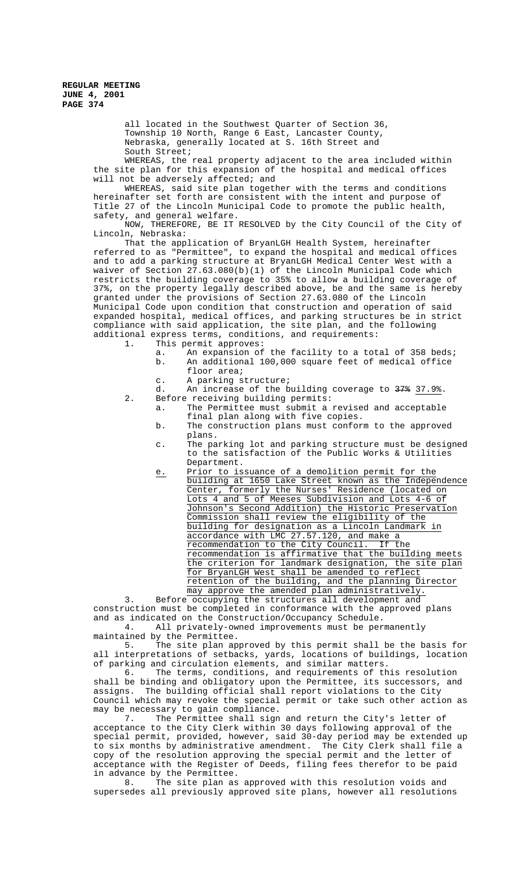all located in the Southwest Quarter of Section 36, Township 10 North, Range 6 East, Lancaster County, Nebraska, generally located at S. 16th Street and South Street;

WHEREAS, the real property adjacent to the area included within the site plan for this expansion of the hospital and medical offices will not be adversely affected; and

WHEREAS, said site plan together with the terms and conditions hereinafter set forth are consistent with the intent and purpose of Title 27 of the Lincoln Municipal Code to promote the public health, safety, and general welfare.

NOW, THEREFORE, BE IT RESOLVED by the City Council of the City of Lincoln, Nebraska:

That the application of BryanLGH Health System, hereinafter referred to as "Permittee", to expand the hospital and medical offices and to add a parking structure at BryanLGH Medical Center West with a waiver of Section 27.63.080(b)(1) of the Lincoln Municipal Code which restricts the building coverage to 35% to allow a building coverage of 37%, on the property legally described above, be and the same is hereby granted under the provisions of Section 27.63.080 of the Lincoln Municipal Code upon condition that construction and operation of said expanded hospital, medical offices, and parking structures be in strict compliance with said application, the site plan, and the following additional express terms, conditions, and requirements:

1. This permit approves:

- a. An expansion of the facility to a total of 358 beds; b. An additional 100,000 square feet of medical office floor area;
- c. A parking structure;
- d. An increase of the building coverage to  $\frac{37*}{37.9%}$ . 2. Before receiving building permits:
	- a. The Permittee must submit a revised and acceptable final plan along with five copies.
		- b. The construction plans must conform to the approved plans.
		- c. The parking lot and parking structure must be designed to the satisfaction of the Public Works & Utilities Department.
		- e. Prior to issuance of a demolition permit for the building at 1650 Lake Street known as the Independence Center, formerly the Nurses' Residence (located on Lots 4 and 5 of Meeses Subdivision and Lots 4-6 of Johnson's Second Addition) the Historic Preservation Commission shall review the eligibility of the building for designation as a Lincoln Landmark in accordance with LMC 27.57.120, and make a recommendation to the City Council. If the recommendation is affirmative that the building meets the criterion for landmark designation, the site plan for BryanLGH West shall be amended to reflect<br>retention of the building, and the planning Director retention of the building, may approve the amended plan administratively.

3. Before occupying the structures all development and construction must be completed in conformance with the approved plans and as indicated on the Construction/Occupancy Schedule. 4. All privately-owned improvements must be permanently

maintained by the Permittee.

5. The site plan approved by this permit shall be the basis for all interpretations of setbacks, yards, locations of buildings, location of parking and circulation elements, and similar matters.

6. The terms, conditions, and requirements of this resolution shall be binding and obligatory upon the Permittee, its successors, and assigns. The building official shall report violations to the City Council which may revoke the special permit or take such other action as may be necessary to gain compliance.<br>7. The Permittee shall sign

The Permittee shall sign and return the City's letter of acceptance to the City Clerk within 30 days following approval of the special permit, provided, however, said 30-day period may be extended up to six months by administrative amendment. The City Clerk shall file a copy of the resolution approving the special permit and the letter of acceptance with the Register of Deeds, filing fees therefor to be paid in advance by the Permittee.

8. The site plan as approved with this resolution voids and supersedes all previously approved site plans, however all resolutions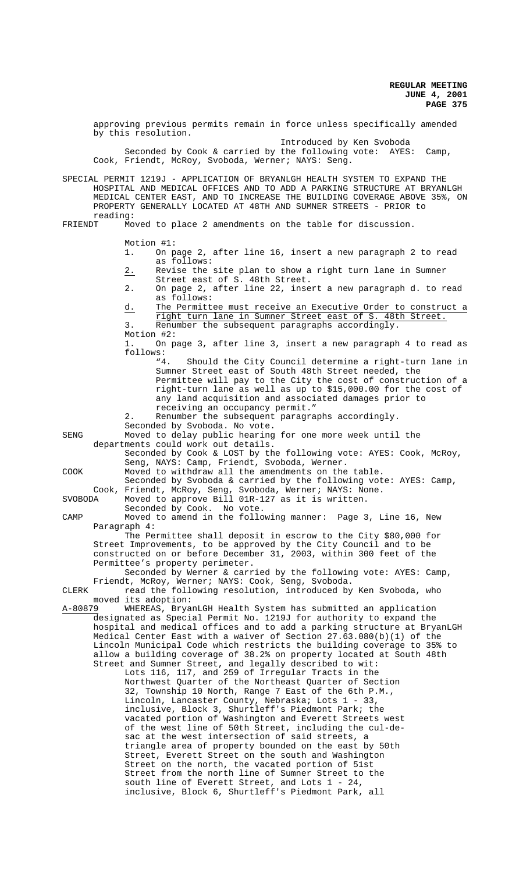approving previous permits remain in force unless specifically amended by this resolution. Introduced by Ken Svoboda Seconded by Cook & carried by the following vote: AYES: Camp, Cook, Friendt, McRoy, Svoboda, Werner; NAYS: Seng. SPECIAL PERMIT 1219J - APPLICATION OF BRYANLGH HEALTH SYSTEM TO EXPAND THE HOSPITAL AND MEDICAL OFFICES AND TO ADD A PARKING STRUCTURE AT BRYANLGH MEDICAL CENTER EAST, AND TO INCREASE THE BUILDING COVERAGE ABOVE 35%, ON PROPERTY GENERALLY LOCATED AT 48TH AND SUMNER STREETS - PRIOR to reading:<br>FRIENDT Mo Moved to place 2 amendments on the table for discussion. Motion #1: 1. On page 2, after line 16, insert a new paragraph 2 to read as follows: 2. Revise the site plan to show a right turn lane in Sumner Street east of S. 48th Street. 2. On page 2, after line 22, insert a new paragraph d. to read as follows: d. The Permittee must receive an Executive Order to construct a right turn lane in Sumner Street east of S. 48th Street. 3. Renumber the subsequent paragraphs accordingly. Motion #2: 1. On page 3, after line 3, insert a new paragraph 4 to read as follows:<br>"4. Should the City Council determine a right-turn lane in Sumner Street east of South 48th Street needed, the Permittee will pay to the City the cost of construction of a right-turn lane as well as up to \$15,000.00 for the cost of any land acquisition and associated damages prior to receiving an occupancy permit." 2. Renumber the subsequent paragraphs accordingly. Seconded by Svoboda. No vote. SENG Moved to delay public hearing for one more week until the departments could work out details. Seconded by Cook & LOST by the following vote: AYES: Cook, McRoy, Seng, NAYS: Camp, Friendt, Svoboda, Werner. COOK Moved to withdraw all the amendments on the table. Seconded by Svoboda & carried by the following vote: AYES: Camp, Cook, Friendt, McRoy, Seng, Svoboda, Werner; NAYS: None. SVOBODA Moved to approve Bill 01R-127 as it is written. Seconded by Cook. No vote. CAMP Moved to amend in the following manner: Page 3, Line 16, New Paragraph 4: The Permittee shall deposit in escrow to the City \$80,000 for Street Improvements, to be approved by the City Council and to be constructed on or before December 31, 2003, within 300 feet of the Permittee's property perimeter. Seconded by Werner & carried by the following vote: AYES: Camp, Friendt, McRoy, Werner; NAYS: Cook, Seng, Svoboda. CLERK read the following resolution, introduced by Ken Svoboda, who moved its adoption:<br>A-80879 WHEREAS, Brya WHEREAS, BryanLGH Health System has submitted an application designated as Special Permit No. 1219J for authority to expand the hospital and medical offices and to add a parking structure at BryanLGH Medical Center East with a waiver of Section 27.63.080(b)(1) of the Lincoln Municipal Code which restricts the building coverage to 35% to allow a building coverage of 38.2% on property located at South 48th Street and Sumner Street, and legally described to wit: Lots 116, 117, and 259 of Irregular Tracts in the Northwest Quarter of the Northeast Quarter of Section 32, Township 10 North, Range 7 East of the 6th P.M., Lincoln, Lancaster County, Nebraska; Lots 1 - 33, inclusive, Block 3, Shurtleff's Piedmont Park; the vacated portion of Washington and Everett Streets west of the west line of 50th Street, including the cul-desac at the west intersection of said streets, a triangle area of property bounded on the east by 50th Street, Everett Street on the south and Washington Street on the north, the vacated portion of 51st Street from the north line of Sumner Street to the south line of Everett Street, and Lots 1 - 24, inclusive, Block 6, Shurtleff's Piedmont Park, all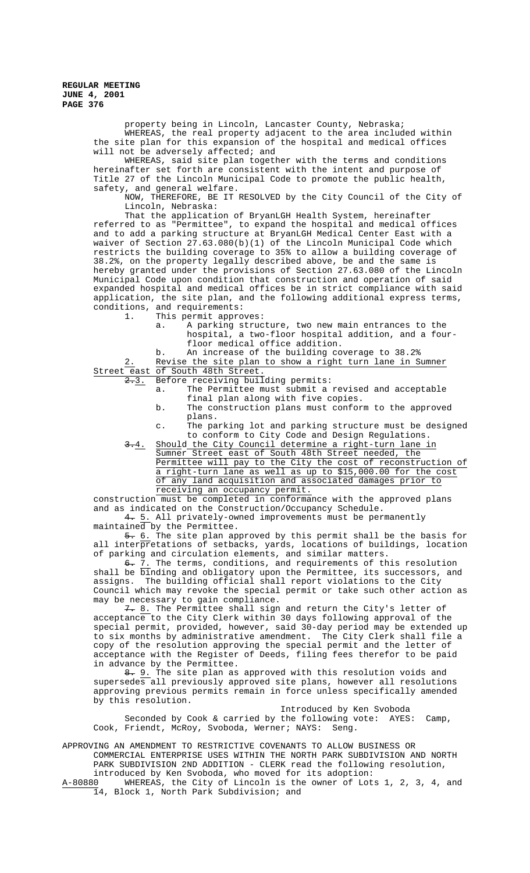> property being in Lincoln, Lancaster County, Nebraska; WHEREAS, the real property adjacent to the area included within the site plan for this expansion of the hospital and medical offices will not be adversely affected; and

WHEREAS, said site plan together with the terms and conditions hereinafter set forth are consistent with the intent and purpose of Title 27 of the Lincoln Municipal Code to promote the public health, safety, and general welfare.

NOW, THEREFORE, BE IT RESOLVED by the City Council of the City of Lincoln, Nebraska:

That the application of BryanLGH Health System, hereinafter referred to as "Permittee", to expand the hospital and medical offices and to add a parking structure at BryanLGH Medical Center East with a waiver of Section 27.63.080(b)(1) of the Lincoln Municipal Code which restricts the building coverage to 35% to allow a building coverage of 38.2%, on the property legally described above, be and the same is hereby granted under the provisions of Section 27.63.080 of the Lincoln Municipal Code upon condition that construction and operation of said expanded hospital and medical offices be in strict compliance with said application, the site plan, and the following additional express terms, conditions, and requirements:<br>1. This permit appro

- This permit approves:
	- a. A parking structure, two new main entrances to the
	- hospital, a two-floor hospital addition, and a fourfloor medical office addition. b. An increase of the building coverage to 38.2%

2. Revise the site plan to show a right turn lane in Sumner Street east of South 48th Street.

2.3. Before receiving building permits:

- a. The Permittee must submit a revised and acceptable final plan along with five copies.
- b. The construction plans must conform to the approved plans.
- c. The parking lot and parking structure must be designed to conform to City Code and Design Regulations.
- 3.4. Should the City Council determine a right-turn lane in Sumner Street east of South 48th Street needed, the Permittee will pay to the City the cost of reconstruction of a right-turn lane as well as up to \$15,000.00 for the cost of any land acquisition and associated damages prior to receiving an occupancy permit.

construction must be completed in conformance with the approved plans and as indicated on the Construction/Occupancy Schedule.

4. 5. All privately-owned improvements must be permanently  $main$ the Permittee.

5. 6. The site plan approved by this permit shall be the basis for all interpretations of setbacks, yards, locations of buildings, location of parking and circulation elements, and similar matters.

6. 7. The terms, conditions, and requirements of this resolution shall be binding and obligatory upon the Permittee, its successors, and assigns. The building official shall report violations to the City Council which may revoke the special permit or take such other action as may be necessary to gain compliance.

7. 8. The Permittee shall sign and return the City's letter of acceptance to the City Clerk within 30 days following approval of the special permit, provided, however, said 30-day period may be extended up to six months by administrative amendment. The City Clerk shall file a copy of the resolution approving the special permit and the letter of acceptance with the Register of Deeds, filing fees therefor to be paid in advance by the Permittee.

8. 9. The site plan as approved with this resolution voids and supersedes all previously approved site plans, however all resolutions approving previous permits remain in force unless specifically amended by this resolution.

Introduced by Ken Svoboda

Seconded by Cook & carried by the following vote: AYES: Camp, Cook, Friendt, McRoy, Svoboda, Werner; NAYS: Seng.

APPROVING AN AMENDMENT TO RESTRICTIVE COVENANTS TO ALLOW BUSINESS OR COMMERCIAL ENTERPRISE USES WITHIN THE NORTH PARK SUBDIVISION AND NORTH PARK SUBDIVISION 2ND ADDITION - CLERK read the following resolution,

introduced by Ken Svoboda, who moved for its adoption:

A-80880 WHEREAS, the City of Lincoln is the owner of Lots 1, 2, 3, 4, and 14, Block 1, North Park Subdivision; and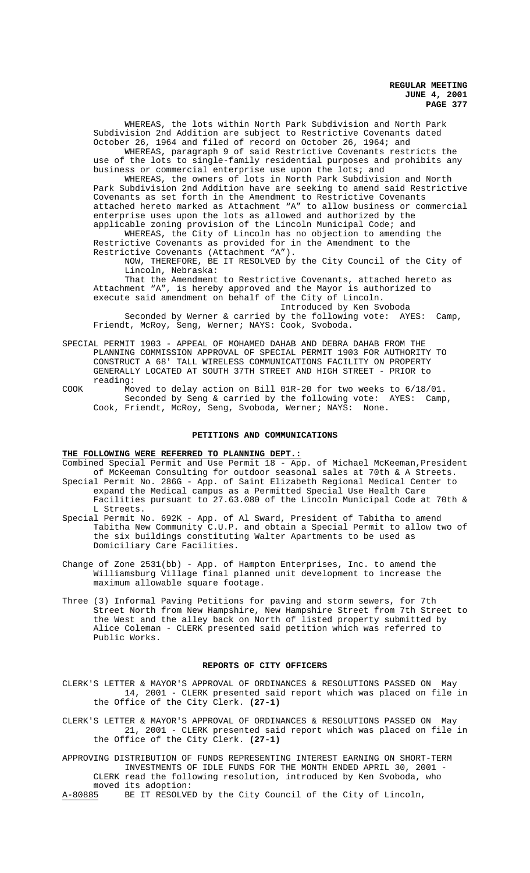WHEREAS, the lots within North Park Subdivision and North Park Subdivision 2nd Addition are subject to Restrictive Covenants dated October 26, 1964 and filed of record on October 26, 1964; and

WHEREAS, paragraph 9 of said Restrictive Covenants restricts the use of the lots to single-family residential purposes and prohibits any business or commercial enterprise use upon the lots; and

WHEREAS, the owners of lots in North Park Subdivision and North Park Subdivision 2nd Addition have are seeking to amend said Restrictive Covenants as set forth in the Amendment to Restrictive Covenants attached hereto marked as Attachment "A" to allow business or commercial enterprise uses upon the lots as allowed and authorized by the applicable zoning provision of the Lincoln Municipal Code; and

WHEREAS, the City of Lincoln has no objection to amending the Restrictive Covenants as provided for in the Amendment to the Restrictive Covenants (Attachment "A").

NOW, THEREFORE, BE IT RESOLVED by the City Council of the City of Lincoln, Nebraska:

That the Amendment to Restrictive Covenants, attached hereto as Attachment "A", is hereby approved and the Mayor is authorized to execute said amendment on behalf of the City of Lincoln.

Introduced by Ken Svoboda Seconded by Werner & carried by the following vote: AYES: Camp, Friendt, McRoy, Seng, Werner; NAYS: Cook, Svoboda.

SPECIAL PERMIT 1903 - APPEAL OF MOHAMED DAHAB AND DEBRA DAHAB FROM THE PLANNING COMMISSION APPROVAL OF SPECIAL PERMIT 1903 FOR AUTHORITY TO CONSTRUCT A 68' TALL WIRELESS COMMUNICATIONS FACILITY ON PROPERTY GENERALLY LOCATED AT SOUTH 37TH STREET AND HIGH STREET - PRIOR to reading:

COOK Moved to delay action on Bill 01R-20 for two weeks to 6/18/01. Seconded by Seng & carried by the following vote: AYES: Camp, Cook, Friendt, McRoy, Seng, Svoboda, Werner; NAYS: None.

#### **PETITIONS AND COMMUNICATIONS**

### **THE FOLLOWING WERE REFERRED TO PLANNING DEPT.:**

Combined Special Permit and Use Permit 18 - App. of Michael McKeeman, President of McKeeman Consulting for outdoor seasonal sales at 70th & A Streets. Special Permit No. 286G - App. of Saint Elizabeth Regional Medical Center to expand the Medical campus as a Permitted Special Use Health Care

- Facilities pursuant to 27.63.080 of the Lincoln Municipal Code at 70th & L Streets. Special Permit No. 692K - App. of Al Sward, President of Tabitha to amend
- Tabitha New Community C.U.P. and obtain a Special Permit to allow two of the six buildings constituting Walter Apartments to be used as Domiciliary Care Facilities.
- Change of Zone 2531(bb) App. of Hampton Enterprises, Inc. to amend the Williamsburg Village final planned unit development to increase the maximum allowable square footage.
- Three (3) Informal Paving Petitions for paving and storm sewers, for 7th Street North from New Hampshire, New Hampshire Street from 7th Street to the West and the alley back on North of listed property submitted by Alice Coleman - CLERK presented said petition which was referred to Public Works.

#### **REPORTS OF CITY OFFICERS**

- CLERK'S LETTER & MAYOR'S APPROVAL OF ORDINANCES & RESOLUTIONS PASSED ON May 14, 2001 - CLERK presented said report which was placed on file in the Office of the City Clerk. **(27-1)**
- CLERK'S LETTER & MAYOR'S APPROVAL OF ORDINANCES & RESOLUTIONS PASSED ON May 21, 2001 - CLERK presented said report which was placed on file in the Office of the City Clerk. **(27-1)**

APPROVING DISTRIBUTION OF FUNDS REPRESENTING INTEREST EARNING ON SHORT-TERM INVESTMENTS OF IDLE FUNDS FOR THE MONTH ENDED APRIL 30, 2001 - CLERK read the following resolution, introduced by Ken Svoboda, who moved its adoption:<br>A-80885 BE IT RESOLVE BE IT RESOLVED by the City Council of the City of Lincoln,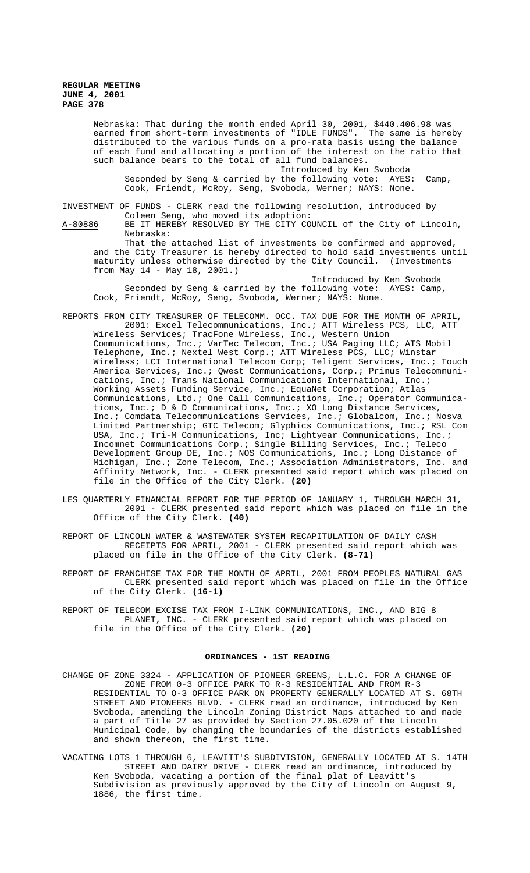Nebraska: That during the month ended April 30, 2001, \$440.406.98 was earned from short-term investments of "IDLE FUNDS". The same is hereby distributed to the various funds on a pro-rata basis using the balance of each fund and allocating a portion of the interest on the ratio that such balance bears to the total of all fund balances.

Introduced by Ken Svoboda Seconded by Seng & carried by the following vote: AYES: Camp, Cook, Friendt, McRoy, Seng, Svoboda, Werner; NAYS: None.

INVESTMENT OF FUNDS - CLERK read the following resolution, introduced by Coleen Seng, who moved its adoption:

A-80886 BE IT HEREBY RESOLVED BY THE CITY COUNCIL of the City of Lincoln, Nebraska: That the attached list of investments be confirmed and approved,

and the City Treasurer is hereby directed to hold said investments until maturity unless otherwise directed by the City Council. (Investments from May 14 - May 18, 2001.) Introduced by Ken Svoboda

Seconded by Seng & carried by the following vote: AYES: Camp, Cook, Friendt, McRoy, Seng, Svoboda, Werner; NAYS: None.

- REPORTS FROM CITY TREASURER OF TELECOMM. OCC. TAX DUE FOR THE MONTH OF APRIL, 2001: Excel Telecommunications, Inc.; ATT Wireless PCS, LLC, ATT Wireless Services; TracFone Wireless, Inc., Western Union Communications, Inc.; VarTec Telecom, Inc.; USA Paging LLC; ATS Mobil Telephone, Inc.; Nextel West Corp.; ATT Wireless PCS, LLC; Winstar Wireless; LCI International Telecom Corp; Teligent Services, Inc.; Touch America Services, Inc.; Qwest Communications, Corp.; Primus Telecommunications, Inc.; Trans National Communications International, Inc.; Working Assets Funding Service, Inc.; EquaNet Corporation; Atlas Communications, Ltd.; One Call Communications, Inc.; Operator Communications, Inc.; D & D Communications, Inc.; XO Long Distance Services, Inc.; Comdata Telecommunications Services, Inc.; Globalcom, Inc.; Nosva Limited Partnership; GTC Telecom; Glyphics Communications, Inc.; RSL Com USA, Inc.; Tri-M Communications, Inc; Lightyear Communications, Inc.; Incomnet Communications Corp.; Single Billing Services, Inc.; Teleco Development Group DE, Inc.; NOS Communications, Inc.; Long Distance of Michigan, Inc.; Zone Telecom, Inc.; Association Administrators, Inc. and Affinity Network, Inc. - CLERK presented said report which was placed on file in the Office of the City Clerk. **(20)**
- LES QUARTERLY FINANCIAL REPORT FOR THE PERIOD OF JANUARY 1, THROUGH MARCH 31, 2001 - CLERK presented said report which was placed on file in the Office of the City Clerk. **(40)**
- REPORT OF LINCOLN WATER & WASTEWATER SYSTEM RECAPITULATION OF DAILY CASH RECEIPTS FOR APRIL, 2001 - CLERK presented said report which was placed on file in the Office of the City Clerk. **(8-71)**
- REPORT OF FRANCHISE TAX FOR THE MONTH OF APRIL, 2001 FROM PEOPLES NATURAL GAS CLERK presented said report which was placed on file in the Office of the City Clerk. **(16-1)**
- REPORT OF TELECOM EXCISE TAX FROM I-LINK COMMUNICATIONS, INC., AND BIG 8 PLANET, INC. - CLERK presented said report which was placed on file in the Office of the City Clerk. **(20)**

### **ORDINANCES - 1ST READING**

- CHANGE OF ZONE 3324 APPLICATION OF PIONEER GREENS, L.L.C. FOR A CHANGE OF ZONE FROM 0-3 OFFICE PARK TO R-3 RESIDENTIAL AND FROM R-3 RESIDENTIAL TO O-3 OFFICE PARK ON PROPERTY GENERALLY LOCATED AT S. 68TH STREET AND PIONEERS BLVD. - CLERK read an ordinance, introduced by Ken Svoboda, amending the Lincoln Zoning District Maps attached to and made a part of Title 27 as provided by Section 27.05.020 of the Lincoln Municipal Code, by changing the boundaries of the districts established and shown thereon, the first time.
- VACATING LOTS 1 THROUGH 6, LEAVITT'S SUBDIVISION, GENERALLY LOCATED AT S. 14TH STREET AND DAIRY DRIVE - CLERK read an ordinance, introduced by Ken Svoboda, vacating a portion of the final plat of Leavitt's Subdivision as previously approved by the City of Lincoln on August 9, 1886, the first time.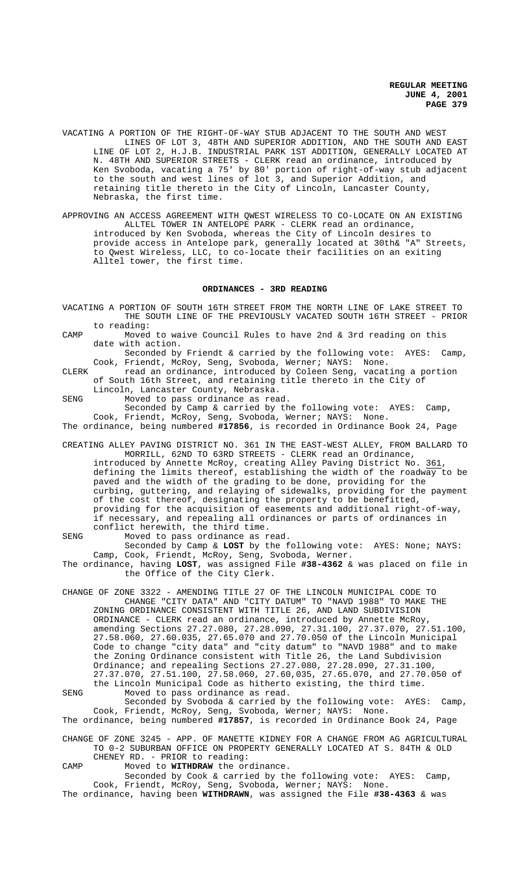- VACATING A PORTION OF THE RIGHT-OF-WAY STUB ADJACENT TO THE SOUTH AND WEST LINES OF LOT 3, 48TH AND SUPERIOR ADDITION, AND THE SOUTH AND EAST LINE OF LOT 2, H.J.B. INDUSTRIAL PARK 1ST ADDITION, GENERALLY LOCATED AT N. 48TH AND SUPERIOR STREETS - CLERK read an ordinance, introduced by Ken Svoboda, vacating a 75' by 80' portion of right-of-way stub adjacent to the south and west lines of lot 3, and Superior Addition, and retaining title thereto in the City of Lincoln, Lancaster County, Nebraska, the first time.
- APPROVING AN ACCESS AGREEMENT WITH QWEST WIRELESS TO CO-LOCATE ON AN EXISTING ALLTEL TOWER IN ANTELOPE PARK - CLERK read an ordinance, introduced by Ken Svoboda, whereas the City of Lincoln desires to provide access in Antelope park, generally located at 30th& "A" Streets, to Qwest Wireless, LLC, to co-locate their facilities on an exiting Alltel tower, the first time.

# **ORDINANCES - 3RD READING**

- VACATING A PORTION OF SOUTH 16TH STREET FROM THE NORTH LINE OF LAKE STREET TO THE SOUTH LINE OF THE PREVIOUSLY VACATED SOUTH 16TH STREET - PRIOR to reading: CAMP Moved to waive Council Rules to have 2nd & 3rd reading on this date with action. Seconded by Friendt & carried by the following vote: AYES: Camp, Cook, Friendt, McRoy, Seng, Svoboda, Werner; NAYS: None. CLERK read an ordinance, introduced by Coleen Seng, vacating a portion of South 16th Street, and retaining title thereto in the City of Lincoln, Lancaster County, Nebraska. SENG Moved to pass ordinance as read. Seconded by Camp & carried by the following vote: AYES: Camp, Cook, Friendt, McRoy, Seng, Svoboda, Werner; NAYS: None. The ordinance, being numbered **#17856**, is recorded in Ordinance Book 24, Page CREATING ALLEY PAVING DISTRICT NO. 361 IN THE EAST-WEST ALLEY, FROM BALLARD TO MORRILL, 62ND TO 63RD STREETS - CLERK read an Ordinance, introduced by Annette McRoy, creating Alley Paving District No. 361 defining the limits thereof, establishing the width of the roadway to be paved and the width of the grading to be done, providing for the curbing, guttering, and relaying of sidewalks, providing for the payment of the cost thereof, designating the property to be benefitted, providing for the acquisition of easements and additional right-of-way, if necessary, and repealing all ordinances or parts of ordinances in conflict herewith, the third time. SENG Moved to pass ordinance as read. Seconded by Camp & **LOST** by the following vote: AYES: None; NAYS:
- Camp, Cook, Friendt, McRoy, Seng, Svoboda, Werner. The ordinance, having **LOST**, was assigned File **#38-4362** & was placed on file in the Office of the City Clerk.
- CHANGE OF ZONE 3322 AMENDING TITLE 27 OF THE LINCOLN MUNICIPAL CODE TO CHANGE "CITY DATA" AND "CITY DATUM" TO "NAVD 1988" TO MAKE THE ZONING ORDINANCE CONSISTENT WITH TITLE 26, AND LAND SUBDIVISION ORDINANCE - CLERK read an ordinance, introduced by Annette McRoy, amending Sections 27.27.080, 27.28.090, 27.31.100, 27.37.070, 27.51.100, 27.58.060, 27.60.035, 27.65.070 and 27.70.050 of the Lincoln Municipal Code to change "city data" and "city datum" to "NAVD 1988" and to make the Zoning Ordinance consistent with Title 26, the Land Subdivision Ordinance; and repealing Sections 27.27.080, 27.28.090, 27.31.100, 27.37.070, 27.51.100, 27.58.060, 27.60,035, 27.65.070, and 27.70.050 of the Lincoln Municipal Code as hitherto existing, the third time. SENG Moved to pass ordinance as read.
- Seconded by Svoboda & carried by the following vote: AYES: Camp, Cook, Friendt, McRoy, Seng, Svoboda, Werner; NAYS: None. The ordinance, being numbered **#17857**, is recorded in Ordinance Book 24, Page
- CHANGE OF ZONE 3245 APP. OF MANETTE KIDNEY FOR A CHANGE FROM AG AGRICULTURAL TO 0-2 SUBURBAN OFFICE ON PROPERTY GENERALLY LOCATED AT S. 84TH & OLD
- CHENEY RD. PRIOR to reading:

CAMP Moved to **WITHDRAW** the ordinance.

Seconded by Cook & carried by the following vote: AYES: Camp, Cook, Friendt, McRoy, Seng, Svoboda, Werner; NAYS: None. The ordinance, having been **WITHDRAWN**, was assigned the File **#38-4363** & was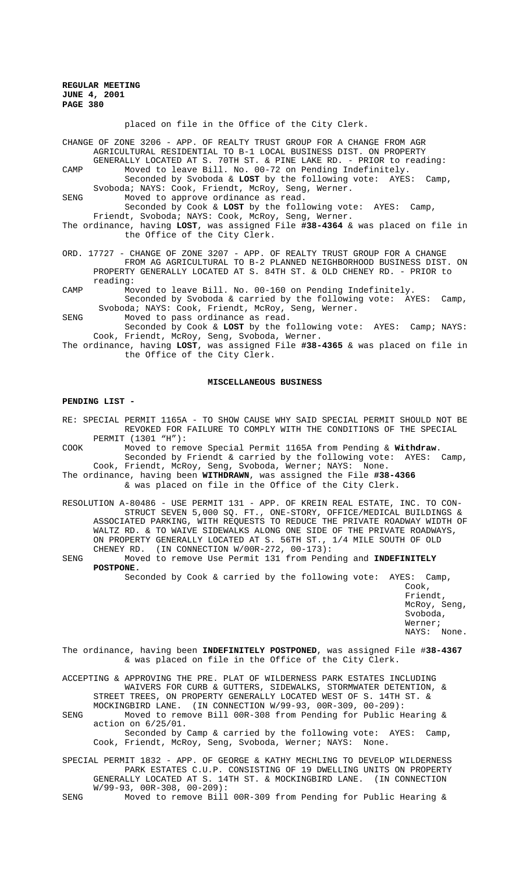placed on file in the Office of the City Clerk.

CHANGE OF ZONE 3206 - APP. OF REALTY TRUST GROUP FOR A CHANGE FROM AGR AGRICULTURAL RESIDENTIAL TO B-1 LOCAL BUSINESS DIST. ON PROPERTY GENERALLY LOCATED AT S. 70TH ST. & PINE LAKE RD. - PRIOR to reading: CAMP Moved to leave Bill. No. 00-72 on Pending Indefinitely.

- Seconded by Svoboda & **LOST** by the following vote: AYES: Camp, Svoboda; NAYS: Cook, Friendt, McRoy, Seng, Werner. SENG Moved to approve ordinance as read.
- Seconded by Cook & **LOST** by the following vote: AYES: Camp, Friendt, Svoboda; NAYS: Cook, McRoy, Seng, Werner.
- The ordinance, having **LOST**, was assigned File **#38-4364** & was placed on file in the Office of the City Clerk.
- ORD. 17727 CHANGE OF ZONE 3207 APP. OF REALTY TRUST GROUP FOR A CHANGE FROM AG AGRICULTURAL TO B-2 PLANNED NEIGHBORHOOD BUSINESS DIST. ON PROPERTY GENERALLY LOCATED AT S. 84TH ST. & OLD CHENEY RD. - PRIOR to reading:
- CAMP Moved to leave Bill. No. 00-160 on Pending Indefinitely. Seconded by Svoboda & carried by the following vote: AYES: Camp, Svoboda; NAYS: Cook, Friendt, McRoy, Seng, Werner.
- SENG Moved to pass ordinance as read.

Seconded by Cook & **LOST** by the following vote: AYES: Camp; NAYS: Cook, Friendt, McRoy, Seng, Svoboda, Werner.

The ordinance, having **LOST**, was assigned File **#38-4365** & was placed on file in the Office of the City Clerk.

#### **MISCELLANEOUS BUSINESS**

### **PENDING LIST -**

RE: SPECIAL PERMIT 1165A - TO SHOW CAUSE WHY SAID SPECIAL PERMIT SHOULD NOT BE REVOKED FOR FAILURE TO COMPLY WITH THE CONDITIONS OF THE SPECIAL PERMIT (1301 "H"):

- COOK Moved to remove Special Permit 1165A from Pending & **Withdraw**. Seconded by Friendt & carried by the following vote: AYES: Camp, Cook, Friendt, McRoy, Seng, Svoboda, Werner; NAYS: None.
- The ordinance, having been **WITHDRAWN**, was assigned the File **#38-4366**  & was placed on file in the Office of the City Clerk.
- RESOLUTION A-80486 USE PERMIT 131 APP. OF KREIN REAL ESTATE, INC. TO CON-STRUCT SEVEN 5,000 SQ. FT., ONE-STORY, OFFICE/MEDICAL BUILDINGS & ASSOCIATED PARKING, WITH REQUESTS TO REDUCE THE PRIVATE ROADWAY WIDTH OF WALTZ RD. & TO WAIVE SIDEWALKS ALONG ONE SIDE OF THE PRIVATE ROADWAYS, ON PROPERTY GENERALLY LOCATED AT S. 56TH ST., 1/4 MILE SOUTH OF OLD CHENEY RD. (IN CONNECTION W/00R-272, 00-173):
- SENG Moved to remove Use Permit 131 from Pending and **INDEFINITELY POSTPONE.**

Seconded by Cook & carried by the following vote: AYES: Camp,

Cook, Friendt, McRoy, Seng, Svoboda, Werner; NAYS: None.

The ordinance, having been **INDEFINITELY POSTPONED**, was assigned File #**38-4367** & was placed on file in the Office of the City Clerk.

ACCEPTING & APPROVING THE PRE. PLAT OF WILDERNESS PARK ESTATES INCLUDING WAIVERS FOR CURB & GUTTERS, SIDEWALKS, STORMWATER DETENTION, & STREET TREES, ON PROPERTY GENERALLY LOCATED WEST OF S. 14TH ST. & MOCKINGBIRD LANE. (IN CONNECTION W/99-93, 00R-309, 00-209):

SENG Moved to remove Bill 00R-308 from Pending for Public Hearing & action on 6/25/01.

Seconded by Camp & carried by the following vote: AYES: Camp, Cook, Friendt, McRoy, Seng, Svoboda, Werner; NAYS: None.

SPECIAL PERMIT 1832 - APP. OF GEORGE & KATHY MECHLING TO DEVELOP WILDERNESS PARK ESTATES C.U.P. CONSISTING OF 19 DWELLING UNITS ON PROPERTY GENERALLY LOCATED AT S. 14TH ST. & MOCKINGBIRD LANE. (IN CONNECTION W/99-93, 00R-308, 00-209):

SENG Moved to remove Bill 00R-309 from Pending for Public Hearing &